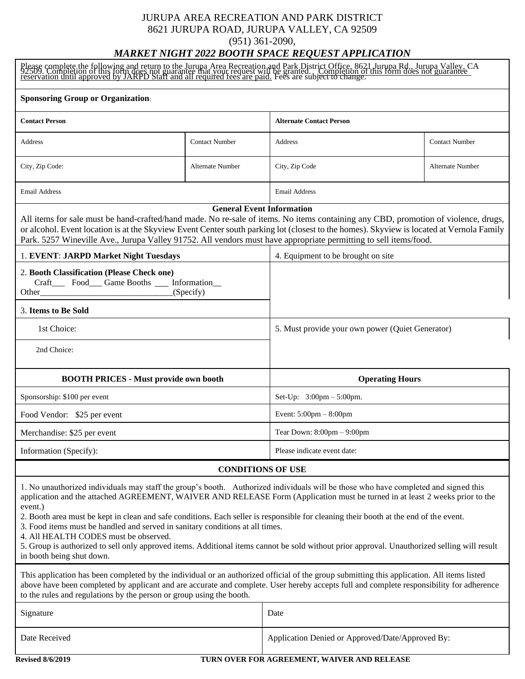#### JURUPA AREA RECREATION AND PARK DISTRICT 8621 JURUPA ROAD, JURUPA VALLEY, CA 92509 (951) 361-2090,

## *MARKET NIGHT 2022 BOOTH SPACE REQUEST APPLICATION*

| Please complete the following and return to the Jurupa Area Recreation and Park District Office, 8621 Jurupa Rd., Jurupa Valley, CA<br>92509. Completion of this form does not guarantee that your request will be granted. Compl                                                                                                                                                                                                                                                                                                                                                                                                                                                                                              |                          |                                                  |                         |
|--------------------------------------------------------------------------------------------------------------------------------------------------------------------------------------------------------------------------------------------------------------------------------------------------------------------------------------------------------------------------------------------------------------------------------------------------------------------------------------------------------------------------------------------------------------------------------------------------------------------------------------------------------------------------------------------------------------------------------|--------------------------|--------------------------------------------------|-------------------------|
| <b>Sponsoring Group or Organization:</b>                                                                                                                                                                                                                                                                                                                                                                                                                                                                                                                                                                                                                                                                                       |                          |                                                  |                         |
| <b>Contact Person</b>                                                                                                                                                                                                                                                                                                                                                                                                                                                                                                                                                                                                                                                                                                          |                          | <b>Alternate Contact Person</b>                  |                         |
| Address                                                                                                                                                                                                                                                                                                                                                                                                                                                                                                                                                                                                                                                                                                                        | <b>Contact Number</b>    | Address                                          | <b>Contact Number</b>   |
| City, Zip Code:                                                                                                                                                                                                                                                                                                                                                                                                                                                                                                                                                                                                                                                                                                                | <b>Alternate Number</b>  | City, Zip Code                                   | <b>Alternate Number</b> |
| <b>Email Address</b>                                                                                                                                                                                                                                                                                                                                                                                                                                                                                                                                                                                                                                                                                                           |                          | <b>Email Address</b>                             |                         |
| <b>General Event Information</b><br>All items for sale must be hand-crafted/hand made. No re-sale of items. No items containing any CBD, promotion of violence, drugs,<br>or alcohol. Event location is at the Skyview Event Center south parking lot (closest to the homes). Skyview is located at Vernola Family<br>Park. 5257 Wineville Ave., Jurupa Valley 91752. All vendors must have appropriate permitting to sell items/food.                                                                                                                                                                                                                                                                                         |                          |                                                  |                         |
| 1. EVENT: JARPD Market Night Tuesdays                                                                                                                                                                                                                                                                                                                                                                                                                                                                                                                                                                                                                                                                                          |                          | 4. Equipment to be brought on site               |                         |
| 2. Booth Classification (Please Check one)<br>Craft______ Food_____ Game Booths ______ Information___<br>(Specify)<br>Other                                                                                                                                                                                                                                                                                                                                                                                                                                                                                                                                                                                                    |                          |                                                  |                         |
| 3. Items to Be Sold                                                                                                                                                                                                                                                                                                                                                                                                                                                                                                                                                                                                                                                                                                            |                          |                                                  |                         |
| 1st Choice:                                                                                                                                                                                                                                                                                                                                                                                                                                                                                                                                                                                                                                                                                                                    |                          | 5. Must provide your own power (Quiet Generator) |                         |
| 2nd Choice:                                                                                                                                                                                                                                                                                                                                                                                                                                                                                                                                                                                                                                                                                                                    |                          |                                                  |                         |
|                                                                                                                                                                                                                                                                                                                                                                                                                                                                                                                                                                                                                                                                                                                                |                          |                                                  |                         |
| <b>BOOTH PRICES - Must provide own booth</b>                                                                                                                                                                                                                                                                                                                                                                                                                                                                                                                                                                                                                                                                                   |                          | <b>Operating Hours</b>                           |                         |
| Sponsorship: \$100 per event                                                                                                                                                                                                                                                                                                                                                                                                                                                                                                                                                                                                                                                                                                   |                          | Set-Up: 3:00pm - 5:00pm.                         |                         |
| Food Vendor: \$25 per event                                                                                                                                                                                                                                                                                                                                                                                                                                                                                                                                                                                                                                                                                                    |                          | Event: $5:00 \text{pm} - 8:00 \text{pm}$         |                         |
| Merchandise: \$25 per event                                                                                                                                                                                                                                                                                                                                                                                                                                                                                                                                                                                                                                                                                                    |                          | Tear Down: $8:00 \text{pm} - 9:00 \text{pm}$     |                         |
| Information (Specify):                                                                                                                                                                                                                                                                                                                                                                                                                                                                                                                                                                                                                                                                                                         |                          | Please indicate event date:                      |                         |
|                                                                                                                                                                                                                                                                                                                                                                                                                                                                                                                                                                                                                                                                                                                                | <b>CONDITIONS OF USE</b> |                                                  |                         |
| 1. No unauthorized individuals may staff the group's booth. Authorized individuals will be those who have completed and signed this<br>application and the attached AGREEMENT, WAIVER AND RELEASE Form (Application must be turned in at least 2 weeks prior to the<br>event.)<br>2. Booth area must be kept in clean and safe conditions. Each seller is responsible for cleaning their booth at the end of the event.<br>3. Food items must be handled and served in sanitary conditions at all times.<br>4. All HEALTH CODES must be observed.<br>5. Group is authorized to sell only approved items. Additional items cannot be sold without prior approval. Unauthorized selling will result<br>in booth being shut down. |                          |                                                  |                         |
| This application has been completed by the individual or an authorized official of the group submitting this application. All items listed<br>above have been completed by applicant and are accurate and complete. User hereby accepts full and complete responsibility for adherence<br>to the rules and regulations by the person or group using the booth.                                                                                                                                                                                                                                                                                                                                                                 |                          |                                                  |                         |
| Signature                                                                                                                                                                                                                                                                                                                                                                                                                                                                                                                                                                                                                                                                                                                      |                          | Date                                             |                         |